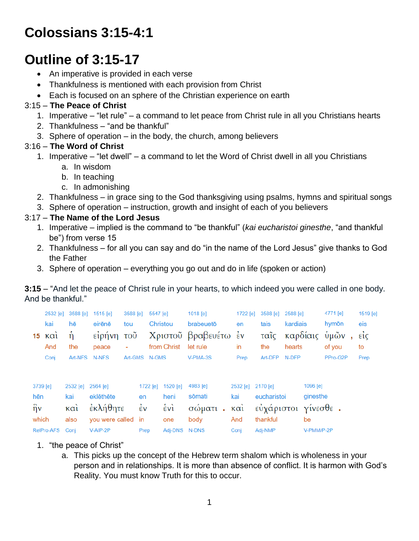# **Colossians 3:15-4:1**

# **Outline of 3:15-17**

- An imperative is provided in each verse
- Thankfulness is mentioned with each provision from Christ
- Each is focused on an sphere of the Christian experience on earth

## 3:15 – **The Peace of Christ**

- 1. Imperative "let rule" a command to let peace from Christ rule in all you Christians hearts
- 2. Thankfulness "and be thankful"
- 3. Sphere of operation in the body, the church, among believers

## 3:16 – **The Word of Christ**

- 1. Imperative "let dwell" a command to let the Word of Christ dwell in all you Christians
	- a. In wisdom
	- b. In teaching
	- c. In admonishing
- 2. Thankfulness in grace sing to the God thanksgiving using psalms, hymns and spiritual songs
- 3. Sphere of operation instruction, growth and insight of each of you believers

## 3:17 – **The Name of the Lord Jesus**

- 1. Imperative implied is the command to "be thankful" (*kai eucharistoi ginesthe*, "and thankful be") from verse 15
- 2. Thankfulness for all you can say and do "in the name of the Lord Jesus" give thanks to God the Father
- 3. Sphere of operation everything you go out and do in life (spoken or action)

#### **3:15** – "And let the peace of Christ rule in your hearts, to which indeed you were called in one body. And be thankful."

| 15 <sub>1</sub>                            | 2532 [e]<br>kai<br>$\kappa \alpha i$<br>And<br>Conj | 3588 [e]<br>hē<br>ń<br>the<br>Art-NFS        | $1515$ [e]<br>eirēnē<br>είρήνη<br>peace<br>N-NFS     | 3588 [e]<br>tou<br>$\overline{\mathrm{TOU}}$<br>۰ | 5547 [e]<br>Art-GMS N-GMS                  | Christou<br>from Christ                        | 1018 [e]<br>brabeuetō<br>Χριστοῦ βραβευέτω έν<br>let rule<br>V-PMA-3S | 1722 [e]<br>en<br>in<br>Prep           | 3588 [e]<br>tais<br>ταῖς<br>the<br>Art-DFP | 2588 [e]<br>kardiais<br>hearts<br>N-DFP | καρδίαις                   | 4771 [e]<br>hymōn<br>ὑμῶν<br>of you<br>PPro-G2P | 1519 [e]<br>eis<br>$\vec{\epsilon}$<br>to<br>Prep |
|--------------------------------------------|-----------------------------------------------------|----------------------------------------------|------------------------------------------------------|---------------------------------------------------|--------------------------------------------|------------------------------------------------|-----------------------------------------------------------------------|----------------------------------------|--------------------------------------------|-----------------------------------------|----------------------------|-------------------------------------------------|---------------------------------------------------|
| 3739 [e]<br>hēn<br>$\hat{\eta}$ v<br>which |                                                     | 2532 [e]<br>kai<br>$\kappa$ $\alpha$<br>also | 2564 [e]<br>eklēthēte<br>έκλήθητε<br>you were called |                                                   | 1722 [e]<br>en<br>$\dot{\epsilon}$ v<br>in | 1520 [e]<br>heni<br>$\dot{\epsilon}$ vi<br>one | 4983 [e]<br>sōmati<br>σώματι.<br>body                                 | 2532 [e] 2170 [e]<br>kai<br>καὶ<br>And | eucharistoi<br>εὐχάριστοι<br>thankful      |                                         | 1096 [e]<br>ginesthe<br>be | $\gamma$ ίνεσθε.                                |                                                   |
| RelPro-AFS                                 |                                                     | Conj                                         | V-AIP-2P                                             |                                                   | Prep                                       | Adj-DNS                                        | N-DNS                                                                 | Conj                                   | Adj-NMP                                    |                                         | V-PMM/P-2P                 |                                                 |                                                   |

- 1. "the peace of Christ"
	- a. This picks up the concept of the Hebrew term shalom which is wholeness in your person and in relationships. It is more than absence of conflict. It is harmon with God's Reality. You must know Truth for this to occur.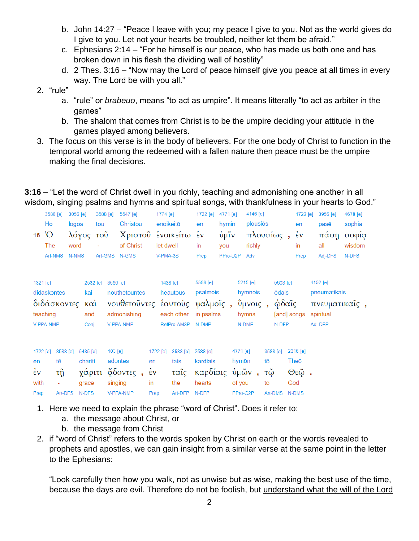- b. John 14:27 "Peace I leave with you; my peace I give to you. Not as the world gives do I give to you. Let not your hearts be troubled, neither let them be afraid."
- c. Ephesians 2:14 "For he himself is our peace, who has made us both one and has broken down in his flesh the dividing wall of hostility"
- d. 2 Thes. 3:16 "Now may the Lord of peace himself give you peace at all times in every way. The Lord be with you all."
- 2. "rule"
	- a. "rule" or *brabeuo*, means "to act as umpire". It means litterally "to act as arbiter in the games"
	- b. The shalom that comes from Christ is to be the umpire deciding your attitude in the games played among believers.
- 3. The focus on this verse is in the body of believers. For the one body of Christ to function in the temporal world among the redeemed with a fallen nature then peace must be the umpire making the final decisions.

|                                |            |             |           |          | nodom, əmging pədimə dira nymnə dira əpintadı əongə, witir tildilitlərinəə in your nodrtə tə Oo |              |                   |                    |          |           |         |          |                    |          |              |               |
|--------------------------------|------------|-------------|-----------|----------|-------------------------------------------------------------------------------------------------|--------------|-------------------|--------------------|----------|-----------|---------|----------|--------------------|----------|--------------|---------------|
|                                | 3588 [e]   | 3056 [e]    |           | 3588 [e] | 5547 [e]                                                                                        | 1774 [e]     |                   | 1722 [e] 4771 [e]  |          | 4146 [e]  |         |          | 1722 [e]           |          | 3956 [e]     | 4678 [e]      |
|                                | Ho         | logos       | tou       |          | Christou                                                                                        |              | enoikeitō         | en                 | hymin    | plousiōs  |         |          | en                 |          | pasē         | sophia        |
|                                | $16^\circ$ |             | λόγος τοῦ |          | Χριστοῦ ἐνοικείτω                                                                               |              |                   | $\dot{\epsilon}$ v | ὑμῖν     | πλουσίως, |         |          | $\dot{\epsilon}$ v |          | πάση         | σοφία         |
|                                | The        | word        | ä,        |          | of Christ                                                                                       | let dwell    |                   | in                 | you      | richly    |         |          | in                 |          | all          | wisdom        |
|                                | Art-NMS    | N-NMS       |           |          | Art-GMS N-GMS                                                                                   | V-PMA-3S     |                   | Prep               | PPro-D2P | Adv       |         |          | Prep               |          | Adj-DFS      | N-DFS         |
| 1321 [e]                       |            |             | 2532 [e]  | 3560 [e] |                                                                                                 |              | 1438 [e]          | 5568 [e]           |          | 5215 [e]  |         | 5603 [e] |                    | 4152 [e] |              |               |
| didaskontes<br>διδάσκοντες και |            |             | kai       |          | nouthetountes                                                                                   |              | heautous          | psalmois           |          | hymnois   |         | ōdais    |                    |          | pneumatikais |               |
|                                |            |             |           |          | νουθετοῦντες ἑαυτοὺς ψαλμοῖς,                                                                   |              |                   |                    |          |           | ύμνοις, |          | ώδαῖς              |          |              | πνευματικαΐς, |
|                                | teaching   | and<br>Conj |           |          | admonishing                                                                                     | each other   |                   | in psalms          |          | hymns     |         |          | [and] songs        |          | spiritual    |               |
|                                | V-PPA-NMP  |             |           |          | V-PPA-NMP                                                                                       |              | RefPro-AM3P N-DMP |                    |          | N-DMP     |         |          | N-DFP              | Adj-DFP  |              |               |
|                                |            |             |           |          |                                                                                                 |              |                   |                    |          |           |         |          |                    |          |              |               |
| 1722 [e]                       |            | 3588 [e]    | 5485 [e]  | 103 [e]  |                                                                                                 | 1722 [e]     | 3588 [e]          | 2588 [e]           |          | 4771 [e]  |         | 3588 [e] | 2316 [e]           |          |              |               |
| en                             | tē         |             | chariti   |          | adontes                                                                                         | en           | tais              | kardiais           |          | hymōn     | tō      |          | Theō               |          |              |               |
| έν                             | τñ         |             | χάριτι    |          | $\alpha$ δοντες,                                                                                | $\epsilon$ v | ταῖς              | καρδίαις           |          | ύμῶν,     | τῷ      |          | $Θ$ εῷ.            |          |              |               |
| with                           |            |             | grace     |          | singing                                                                                         | in           | the               | hearts             |          | of you    | to      |          | God                |          |              |               |
| Prep                           | Art-DFS    |             | N-DFS     |          | V-PPA-NMP                                                                                       | Prep         | Art-DFP           | N-DFP              |          | PPro-G2P  |         | Art-DMS  | <b>N-DMS</b>       |          |              |               |
|                                |            |             |           |          |                                                                                                 |              |                   |                    |          |           |         |          |                    |          |              |               |

**3:16** – "Let the word of Christ dwell in you richly, teaching and admonishing one another in all wisdom, singing psalms and hymns and spiritual songs, with thankfulness in your hearts to God."

- 1. Here we need to explain the phrase "word of Christ". Does it refer to:
	- a. the message about Christ, or
	- b. the message from Christ
- 2. if "word of Christ" refers to the words spoken by Christ on earth or the words revealed to prophets and apostles, we can gain insight from a similar verse at the same point in the letter to the Ephesians:

"Look carefully then how you walk, not as unwise but as wise, making the best use of the time, because the days are evil. Therefore do not be foolish, but understand what the will of the Lord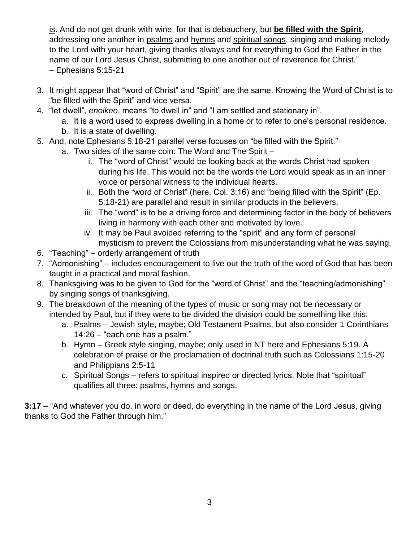is. And do not get drunk with wine, for that is debauchery, but **be filled with the Spirit**, addressing one another in psalms and hymns and spiritual songs, singing and making melody to the Lord with your heart, giving thanks always and for everything to God the Father in the name of our Lord Jesus Christ, submitting to one another out of reverence for Christ." – Ephesians 5:15-21

- 3. It might appear that "word of Christ" and "Spirit" are the same. Knowing the Word of Christ is to "be filled with the Spirit" and vice versa.
- 4. "let dwell", *enoikeo*, means "to dwell in" and "I am settled and stationary in".
	- a. It is a word used to express dwelling in a home or to refer to one's personal residence.
	- b. It is a state of dwelling.
- 5. And, note Ephesians 5:18-21 parallel verse focuses on "be filled with the Spirit."
	- a. Two sides of the same coin: The Word and The Spirit
		- i. The "word of Christ" would be looking back at the words Christ had spoken during his life. This would not be the words the Lord would speak as in an inner voice or personal witness to the individual hearts.
		- ii. Both the "word of Christ" (here, Col. 3:16) and "being filled with the Spirit" (Ep. 5:18-21) are parallel and result in similar products in the believers.
		- iii. The "word" is to be a driving force and determining factor in the body of believers living in harmony with each other and motivated by love.
		- iv. It may be Paul avoided referring to the "spirit" and any form of personal mysticism to prevent the Colossians from misunderstanding what he was saying.
- 6. "Teaching" orderly arrangement of truth
- 7. "Admonishing" includes encouragement to live out the truth of the word of God that has been taught in a practical and moral fashion.
- 8. Thanksgiving was to be given to God for the "word of Christ" and the "teaching/admonishing" by singing songs of thanksgiving.
- 9. The breakdown of the meaning of the types of music or song may not be necessary or intended by Paul, but if they were to be divided the division could be something like this:
	- a. Psalms Jewish style, maybe; Old Testament Psalms, but also consider 1 Corinthians 14:26 – "each one has a psalm."
	- b. Hymn Greek style singing, maybe; only used in NT here and Ephesians 5:19. A celebration of praise or the proclamation of doctrinal truth such as Colossians 1:15-20 and Philippians 2:5-11
	- c. Spiritual Songs refers to spiritual inspired or directed lyrics. Note that "spiritual" qualifies all three: psalms, hymns and songs.

**3:17** – "And whatever you do, in word or deed, do everything in the name of the Lord Jesus, giving thanks to God the Father through him."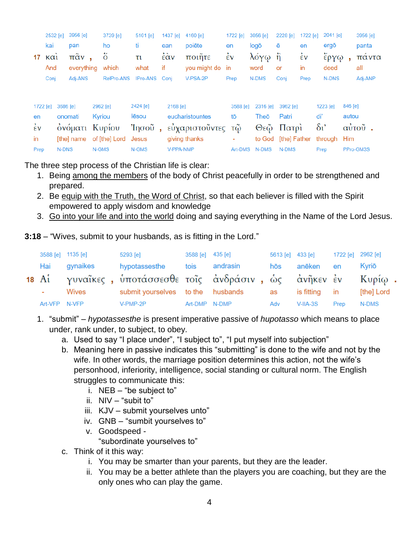|                    | 2532 [e]                         |                            | 3956 [e]   |        | 3739 [e]        | $5101$ [e]    |          | 1437 [e]       | 4160 [e]      |                    | 1722 [e] | 3056 [e] | 2228 [e]                  | 1722 [e]   |          | $2041$ [e] |        | 3956 [e]  |       |
|--------------------|----------------------------------|----------------------------|------------|--------|-----------------|---------------|----------|----------------|---------------|--------------------|----------|----------|---------------------------|------------|----------|------------|--------|-----------|-------|
|                    | kai                              |                            | pan        |        | ho              | ti            |          | ean            | poiēte        | en                 |          | logō     | ē                         | en         |          | ergō       |        | panta     |       |
| 17                 | $K\alpha$                        |                            | παν.       |        | ő               | τι            |          | έὰν            | ποιῆτε        | $\dot{\epsilon}$ v |          | λόγω     | $\ddot{\hat{\mathsf{n}}}$ | έv         |          | έργφ       |        |           | παντα |
|                    | And                              |                            | everything |        | which           | what          | if       |                | you might do  | in                 |          | word     | or                        | in         |          | deed       |        | all       |       |
|                    | Conj                             |                            | Adj-ANS    |        | RelPro-ANS      | IPro-ANS Conj |          |                | V-PSA-2P      | Prep               |          | N-DMS    | Conj                      | Prep       |          | N-DNS      |        | Adj-ANP   |       |
|                    | 3686 [e]<br>2962 [e]<br>1722 [e] |                            |            |        | 2424 [e]        |               | 2168 [e] |                |               | 3588 [e]           | 2316 [e] | 3962 [e] |                           |            | 1223 [e] | 846 [e]    |        |           |       |
| en                 |                                  | Kyriou<br>lēsou<br>onomati |            |        | eucharistountes |               | tō       | Theō           | Patri         | di'                |          |          | autou                     |            |          |            |        |           |       |
| $\dot{\epsilon}$ v | ονόματι                          |                            |            | Κυρίου | Ίησοῦ           |               |          | εὐχαριστοῦντες |               | τῷ                 | Θεῷ      | Πατρί    |                           | $\delta v$ |          |            | αύτοῦ. |           |       |
| in                 |                                  |                            | [the] name |        | of [the] Lord   | Jesus         |          |                | giving thanks |                    | ۰        | to God   | [the] Father              |            |          | through    | Him    |           |       |
| Prep               |                                  | <b>N-DNS</b>               |            | N-GMS  |                 | N-GMS         |          | V-PPA-NMP      |               |                    | Art-DMS  | N-DMS    | N-DMS                     |            | Prep     |            |        | PPro-GM3S |       |

The three step process of the Christian life is clear:

- 1. Being among the members of the body of Christ peacefully in order to be strengthened and prepared.
- 2. Be equip with the Truth, the Word of Christ, so that each believer is filled with the Spirit empowered to apply wisdom and knowledge
- 3. Go into your life and into the world doing and saying everything in the Name of the Lord Jesus.

**3:18** – "Wives, submit to your husbands, as is fitting in the Lord."

|               | 3588 [e] 1135 [e] | 5293 [e]                                                       | 3588 [e] 435 [e] |               | 5613 [e] 433 [e] |               | 1722 [e] 2962 [e] |            |
|---------------|-------------------|----------------------------------------------------------------|------------------|---------------|------------------|---------------|-------------------|------------|
| Hai           | gynaikes          | hypotassesthe                                                  |                  | tois andrasin | hōs              | anēken        | en                | Kvriō      |
|               |                   | 18 Αι γυναΐκες, υποτάσσεσθε τοΐς ανδράσιν, ως ανῆκεν εν Κυρίω. |                  |               |                  |               |                   |            |
| $\sim$        | Wives             | submit yourselves to the husbands                              |                  |               | as               | is fitting in |                   | [the] Lord |
| Art-VFP N-VFP |                   | V-PMP-2P                                                       | Art-DMP N-DMP    |               | Adv              | $V$ -IIA-3S   | Prep              | N-DMS      |

- 1. "submit" *hypotassesthe* is present imperative passive of *hupotasso* which means to place under, rank under, to subject, to obey.
	- a. Used to say "I place under", "I subject to", "I put myself into subjection"
	- b. Meaning here in passive indicates this "submitting" is done to the wife and not by the wife. In other words, the marriage position determines this action, not the wife's personhood, inferiority, intelligence, social standing or cultural norm. The English struggles to communicate this:
		- i. NEB  $-$  "be subject to"
		- ii. NIV "subit to"
		- iii. KJV submit yourselves unto"
		- iv. GNB "sumbit yourselves to"
		- v. Goodspeed "subordinate yourselves to"
	- c. Think of it this way:
		- i. You may be smarter than your parents, but they are the leader.
		- ii. You may be a better athlete than the players you are coaching, but they are the only ones who can play the game.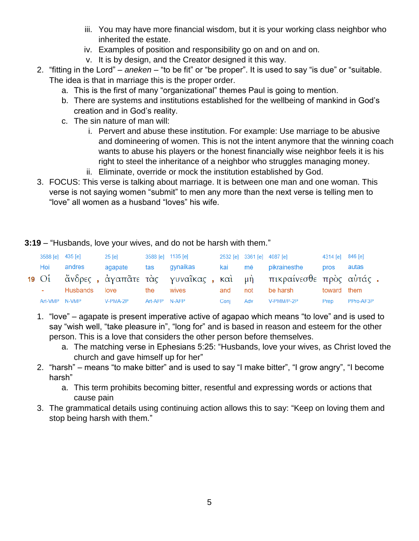- iii. You may have more financial wisdom, but it is your working class neighbor who inherited the estate.
- iv. Examples of position and responsibility go on and on and on.
- v. It is by design, and the Creator designed it this way.
- 2. "fitting in the Lord" *aneken* "to be fit" or "be proper". It is used to say "is due" or "suitable. The idea is that in marriage this is the proper order.
	- a. This is the first of many "organizational" themes Paul is going to mention.
	- b. There are systems and institutions established for the wellbeing of mankind in God's creation and in God's reality.
	- c. The sin nature of man will:
		- i. Pervert and abuse these institution. For example: Use marriage to be abusive and domineering of women. This is not the intent anymore that the winning coach wants to abuse his players or the honest financially wise neighbor feels it is his right to steel the inheritance of a neighbor who struggles managing money.
		- ii. Eliminate, override or mock the institution established by God.
- 3. FOCUS: This verse is talking about marriage. It is between one man and one woman. This verse is not saying women "submit" to men any more than the next verse is telling men to "love" all women as a husband "loves" his wife.

**3:19** – "Husbands, love your wives, and do not be harsh with them."

|  | 3588 [e] 435 [e]       | 25 [e] |               | 3588 [e] 1135 [e]             |      | 2532 [e] 3361 [e] 4087 [e] 4314 [e] 846 [e]                        |           |
|--|------------------------|--------|---------------|-------------------------------|------|--------------------------------------------------------------------|-----------|
|  |                        |        |               |                               |      | Hoi andres agapate tas gynaikas kai mē pikrainesthe pros autas     |           |
|  |                        |        |               |                               |      | 19 Οι άνδρες, άγαπᾶτε τὰς γυναῖκας, καὶ μὴ πικραίνεσθε πρὸς αὐτάς. |           |
|  |                        |        |               | - Husbands love the wives and |      | not be harsh toward them                                           |           |
|  | Art-VMP N-VMP V-PMA-2P |        | Art-AFP N-AFP |                               | Coni | Adv V-PMM/P-2P Prep                                                | PPro-AF3P |

- 1. "love" agapate is present imperative active of agapao which means "to love" and is used to say "wish well, "take pleasure in", "long for" and is based in reason and esteem for the other person. This is a love that considers the other person before themselves.
	- a. The matching verse in Ephesians 5:25: "Husbands, love your wives, as Christ loved the church and gave himself up for her"
- 2. "harsh" means "to make bitter" and is used to say "I make bitter", "I grow angry", "I become harsh"
	- a. This term prohibits becoming bitter, resentful and expressing words or actions that cause pain
- 3. The grammatical details using continuing action allows this to say: "Keep on loving them and stop being harsh with them."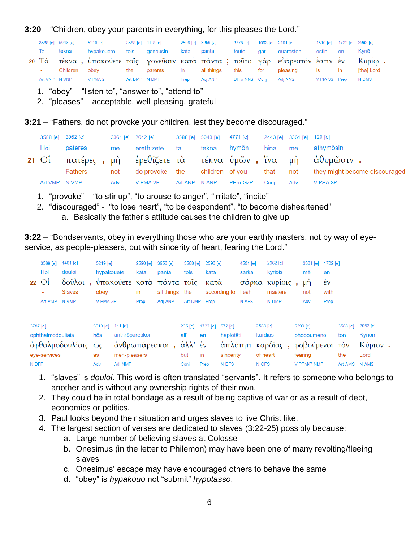#### **3:20** – "Children, obey your parents in everything, for this pleases the Lord."

|                        |          | 3588 [e] 5043 [e] 5219 [e] 3588 [e] 1118 [e]                                         |  | 2596 [e] 3956 [e] |  | 3778 [e]  1063 [e]  2101 [e]  1510 [e]  1722 [e]  2962 [e] |  |            |
|------------------------|----------|--------------------------------------------------------------------------------------|--|-------------------|--|------------------------------------------------------------|--|------------|
|                        | Ta tekna | hypakouete tois goneusin kata panta  touto gar euareston estin en                    |  |                   |  |                                                            |  | Kvriō      |
|                        |          | 20 Τὰ τέκνα, ὑπακούετε τοῖς γονεῦσιν κατὰ πάντα; τοῦτο γὰρ εὐάρεστόν ἐστιν ἐν Κυρίω. |  |                   |  |                                                            |  |            |
| <b>Contact Contact</b> |          | Children obev     the parents  in  all things this  for pleasing  is  in             |  |                   |  |                                                            |  | [the] Lord |
|                        |          | Art-VNP N-VNP V-PMA-2P Art-DMP N-DMP                                                 |  |                   |  | Prep Adj-ANP DPro-NNS Conj Adj-NNS V-PIA-3S Prep           |  | N-DMS      |

- 1. "obey" "listen to", "answer to", "attend to"
- 2. "pleases" acceptable, well-pleasing, grateful

#### **3:21** – "Fathers, do not provoke your children, lest they become discouraged."

|                    | 3588 [e] 3962 [e] | 3361 [e] 2042 [e] 3588 [e] 5043 [e] 4771 [e] 2443 [e] 3361 [e] 120 [e] |  |             |      |         |                                                                           |
|--------------------|-------------------|------------------------------------------------------------------------|--|-------------|------|---------|---------------------------------------------------------------------------|
| Hoi                | pateres           | mē erethizete ta                                                       |  | tekna hymōn |      | hina mē | athymōsin                                                                 |
|                    |                   |                                                                        |  |             |      |         | 21 Οι πατέρες, μη ερεθίζετε τα τέκνα υμών, ίνα μη αθυμώσιν.               |
| <b>All Control</b> | Fathers           |                                                                        |  |             |      |         | not do provoke the children of you that not they might become discouraged |
| Art-VMP N-VMP      |                   | Adv V-PMA-2P Art-ANP N-ANP PPro-G2P                                    |  |             | Coni | Adv     | V-PSA-3P                                                                  |

- 1. "provoke" "to stir up", "to arouse to anger", "irritate", "incite"
- 2. "discouraged" "to lose heart", "to be despondent", "to become disheartened"
	- a. Basically the father's attitude causes the children to give up

**3:22** – "Bondservants, obey in everything those who are your earthly masters, not by way of eyeservice, as people-pleasers, but with sincerity of heart, fearing the Lord."

|                   | 3588 [e]<br>Hoi<br>$22 \text{ O}$ i<br>Art-VMP | 1401 [e]<br>douloi<br>$\delta$ oũ $\lambda$ oi,<br><b>Slaves</b><br>N-VMP | 5219 [e]<br>hypakouete<br>obev<br>V-PMA-2P |                                           | 2596 [e]<br>kata<br>in<br>Prep | 3956 [e]<br>panta<br>υπακούετε κατά πάντα τοΐς<br>all things the<br>Adi-ANP | 3588 [e]<br>tois                          | 2596 [e]<br>kata<br>κατά<br>Art-DMP Prep | according to flesh                         | 4561 [e]<br>sarka<br>N-AFS | 2962 [e]<br>kyriois<br>σάρκα κυρίοις<br>masters<br>N-DMP      | $3361$ [e]<br>mē<br>$\mu$ n<br>not<br>Adv                           | 1722 [e]<br>en<br>έv<br>with<br>Prep |                                         |                                       |  |
|-------------------|------------------------------------------------|---------------------------------------------------------------------------|--------------------------------------------|-------------------------------------------|--------------------------------|-----------------------------------------------------------------------------|-------------------------------------------|------------------------------------------|--------------------------------------------|----------------------------|---------------------------------------------------------------|---------------------------------------------------------------------|--------------------------------------|-----------------------------------------|---------------------------------------|--|
| 3787 [e]<br>N-DFP | ophthalmodouliais<br>eye-services              | όφθαλμοδουλίαις ώς                                                        | 5613 [e] 441 [e]<br>hōs<br>as<br>Adv       | anthrōpareskoi<br>men-pleasers<br>Adj-NMP |                                | άνθρωπάρεσκοι,                                                              | 235 [e]<br>all'<br>άλλ' έν<br>but<br>Conj | 1722 [e]<br>en<br>in<br>Prep             | 572 [e]<br>haplotēti<br>sincerity<br>N-DFS |                            | 2588 [e]<br>kardias<br>άπλότητι καρδίας,<br>of heart<br>N-GFS | 5399 [e]<br>phoboumenoi<br>φοβούμενοι τον<br>fearing<br>V-PPM/P-NMP |                                      | 3588 [e]<br>ton<br>the<br>Art-AMS N-AMS | 2962 [e]<br>Kyrion<br>Κύριον.<br>Lord |  |

- 1. "slaves" is *douloi*. This word is often translated "servants". It refers to someone who belongs to another and is without any ownership rights of their own.
- 2. They could be in total bondage as a result of being captive of war or as a result of debt, economics or politics.
- 3. Paul looks beyond their situation and urges slaves to live Christ like.
- 4. The largest section of verses are dedicated to slaves (3:22-25) possibly because:
	- a. Large number of believing slaves at Colosse
	- b. Onesimus (in the letter to Philemon) may have been one of many revolting/fleeing slaves
	- c. Onesimus' escape may have encouraged others to behave the same
	- d. "obey" is *hypakouo* not "submit" *hypotasso*.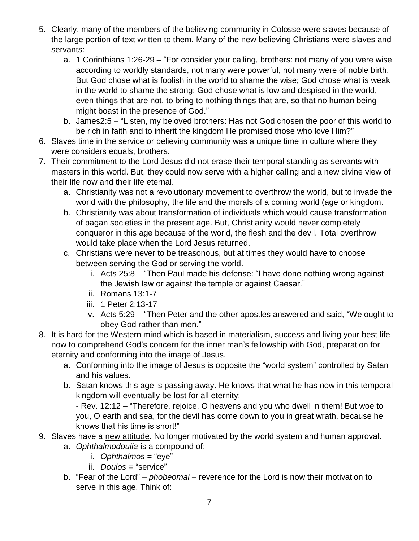- 5. Clearly, many of the members of the believing community in Colosse were slaves because of the large portion of text written to them. Many of the new believing Christians were slaves and servants:
	- a. 1 Corinthians 1:26-29 "For consider your calling, brothers: not many of you were wise according to worldly standards, not many were powerful, not many were of noble birth. But God chose what is foolish in the world to shame the wise; God chose what is weak in the world to shame the strong; God chose what is low and despised in the world, even things that are not, to bring to nothing things that are, so that no human being might boast in the presence of God."
	- b. James2:5 "Listen, my beloved brothers: Has not God chosen the poor of this world to be rich in faith and to inherit the kingdom He promised those who love Him?"
- 6. Slaves time in the service or believing community was a unique time in culture where they were considers equals, brothers.
- 7. Their commitment to the Lord Jesus did not erase their temporal standing as servants with masters in this world. But, they could now serve with a higher calling and a new divine view of their life now and their life eternal.
	- a. Christianity was not a revolutionary movement to overthrow the world, but to invade the world with the philosophy, the life and the morals of a coming world (age or kingdom.
	- b. Christianity was about transformation of individuals which would cause transformation of pagan societies in the present age. But, Christianity would never completely conqueror in this age because of the world, the flesh and the devil. Total overthrow would take place when the Lord Jesus returned.
	- c. Christians were never to be treasonous, but at times they would have to choose between serving the God or serving the world.
		- i. Acts 25:8 "Then Paul made his defense: "I have done nothing wrong against the Jewish law or against the temple or against Caesar."
		- ii. Romans 13:1-7
		- iii. 1 Peter 2:13-17
		- iv. Acts 5:29 "Then Peter and the other apostles answered and said, "We ought to obey God rather than men."
- 8. It is hard for the Western mind which is based in materialism, success and living your best life now to comprehend God's concern for the inner man's fellowship with God, preparation for eternity and conforming into the image of Jesus.
	- a. Conforming into the image of Jesus is opposite the "world system" controlled by Satan and his values.
	- b. Satan knows this age is passing away. He knows that what he has now in this temporal kingdom will eventually be lost for all eternity:

- Rev. 12:12 – "Therefore, rejoice, O heavens and you who dwell in them! But woe to you, O earth and sea, for the devil has come down to you in great wrath, because he knows that his time is short!"

- 9. Slaves have a new attitude. No longer motivated by the world system and human approval.
	- a. *Ophthalmodoulia* is a compound of:
		- i. *Ophthalmos* = "eye"
		- ii. *Doulos* = "service"
	- b. "Fear of the Lord" *phobeomai* reverence for the Lord is now their motivation to serve in this age. Think of: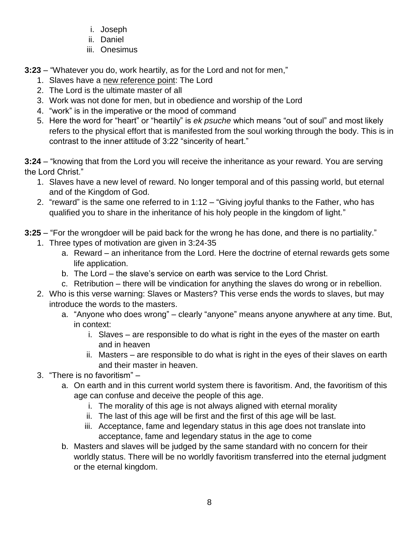- i. Joseph
- ii. Daniel
- iii. Onesimus

**3:23** – "Whatever you do, work heartily, as for the Lord and not for men,"

- 1. Slaves have a new reference point: The Lord
- 2. The Lord is the ultimate master of all
- 3. Work was not done for men, but in obedience and worship of the Lord
- 4. "work" is in the imperative or the mood of command
- 5. Here the word for "heart" or "heartily" is *ek psuche* which means "out of soul" and most likely refers to the physical effort that is manifested from the soul working through the body. This is in contrast to the inner attitude of 3:22 "sincerity of heart."

**3:24** – "knowing that from the Lord you will receive the inheritance as your reward. You are serving the Lord Christ."

- 1. Slaves have a new level of reward. No longer temporal and of this passing world, but eternal and of the Kingdom of God.
- 2. "reward" is the same one referred to in 1:12 "Giving joyful thanks to the Father, who has qualified you to share in the inheritance of his holy people in the kingdom of light."
- **3:25** "For the wrongdoer will be paid back for the wrong he has done, and there is no partiality."
	- 1. Three types of motivation are given in 3:24-35
		- a. Reward an inheritance from the Lord. Here the doctrine of eternal rewards gets some life application.
		- b. The Lord the slave's service on earth was service to the Lord Christ.
		- c. Retribution there will be vindication for anything the slaves do wrong or in rebellion.
	- 2. Who is this verse warning: Slaves or Masters? This verse ends the words to slaves, but may introduce the words to the masters.
		- a. "Anyone who does wrong" clearly "anyone" means anyone anywhere at any time. But, in context:
			- i. Slaves are responsible to do what is right in the eyes of the master on earth and in heaven
			- ii. Masters are responsible to do what is right in the eyes of their slaves on earth and their master in heaven.
	- 3. "There is no favoritism"
		- a. On earth and in this current world system there is favoritism. And, the favoritism of this age can confuse and deceive the people of this age.
			- i. The morality of this age is not always aligned with eternal morality
			- ii. The last of this age will be first and the first of this age will be last.
			- iii. Acceptance, fame and legendary status in this age does not translate into acceptance, fame and legendary status in the age to come
		- b. Masters and slaves will be judged by the same standard with no concern for their worldly status. There will be no worldly favoritism transferred into the eternal judgment or the eternal kingdom.